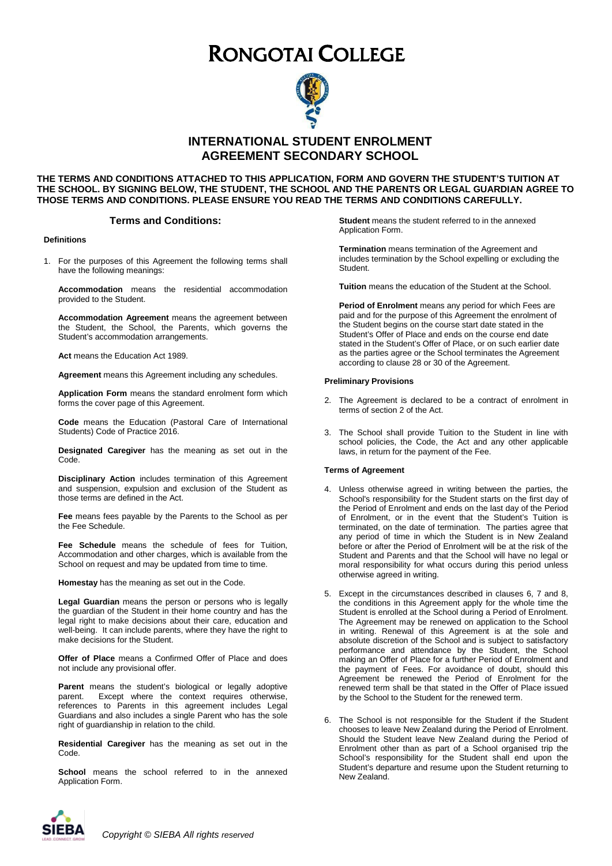# RONGOTAI COLLEGE



**INTERNATIONAL STUDENT ENROLMENT AGREEMENT SECONDARY SCHOOL**

**THE TERMS AND CONDITIONS ATTACHED TO THIS APPLICATION, FORM AND GOVERN THE STUDENT'S TUITION AT THE SCHOOL. BY SIGNING BELOW, THE STUDENT, THE SCHOOL AND THE PARENTS OR LEGAL GUARDIAN AGREE TO THOSE TERMS AND CONDITIONS. PLEASE ENSURE YOU READ THE TERMS AND CONDITIONS CAREFULLY.**

# **Terms and Conditions:**

#### **Definitions**

1. For the purposes of this Agreement the following terms shall have the following meanings:

**Accommodation** means the residential accommodation provided to the Student.

**Accommodation Agreement** means the agreement between the Student, the School, the Parents, which governs the Student's accommodation arrangements.

**Act** means the Education Act 1989.

**Agreement** means this Agreement including any schedules.

**Application Form** means the standard enrolment form which forms the cover page of this Agreement.

**Code** means the Education (Pastoral Care of International Students) Code of Practice 2016.

**Designated Caregiver** has the meaning as set out in the Code.

**Disciplinary Action** includes termination of this Agreement and suspension, expulsion and exclusion of the Student as those terms are defined in the Act.

**Fee** means fees payable by the Parents to the School as per the Fee Schedule.

**Fee Schedule** means the schedule of fees for Tuition, Accommodation and other charges, which is available from the School on request and may be updated from time to time.

**Homestay** has the meaning as set out in the Code.

**Legal Guardian** means the person or persons who is legally the guardian of the Student in their home country and has the legal right to make decisions about their care, education and well-being. It can include parents, where they have the right to make decisions for the Student.

**Offer of Place** means a Confirmed Offer of Place and does not include any provisional offer.

**Parent** means the student's biological or legally adoptive<br>parent **Except where the context requires otherwise** Except where the context requires otherwise, references to Parents in this agreement includes Legal Guardians and also includes a single Parent who has the sole right of guardianship in relation to the child.

**Residential Caregiver** has the meaning as set out in the Code.

**School** means the school referred to in the annexed Application Form.

**Student** means the student referred to in the annexed Application Form.

**Termination** means termination of the Agreement and includes termination by the School expelling or excluding the Student.

**Tuition** means the education of the Student at the School.

**Period of Enrolment** means any period for which Fees are paid and for the purpose of this Agreement the enrolment of the Student begins on the course start date stated in the Student's Offer of Place and ends on the course end date stated in the Student's Offer of Place, or on such earlier date as the parties agree or the School terminates the Agreement according to clause 28 or 30 of the Agreement.

#### **Preliminary Provisions**

- 2. The Agreement is declared to be a contract of enrolment in terms of section 2 of the Act.
- 3. The School shall provide Tuition to the Student in line with school policies, the Code, the Act and any other applicable laws, in return for the payment of the Fee.

#### **Terms of Agreement**

- 4. Unless otherwise agreed in writing between the parties, the School's responsibility for the Student starts on the first day of the Period of Enrolment and ends on the last day of the Period of Enrolment, or in the event that the Student's Tuition is terminated, on the date of termination. The parties agree that any period of time in which the Student is in New Zealand before or after the Period of Enrolment will be at the risk of the Student and Parents and that the School will have no legal or moral responsibility for what occurs during this period unless otherwise agreed in writing.
- 5. Except in the circumstances described in clauses 6, 7 and 8, the conditions in this Agreement apply for the whole time the Student is enrolled at the School during a Period of Enrolment. The Agreement may be renewed on application to the School in writing. Renewal of this Agreement is at the sole and absolute discretion of the School and is subject to satisfactory performance and attendance by the Student, the School making an Offer of Place for a further Period of Enrolment and the payment of Fees. For avoidance of doubt, should this Agreement be renewed the Period of Enrolment for the renewed term shall be that stated in the Offer of Place issued by the School to the Student for the renewed term.
- 6. The School is not responsible for the Student if the Student chooses to leave New Zealand during the Period of Enrolment. Should the Student leave New Zealand during the Period of Enrolment other than as part of a School organised trip the School's responsibility for the Student shall end upon the Student's departure and resume upon the Student returning to New Zealand.

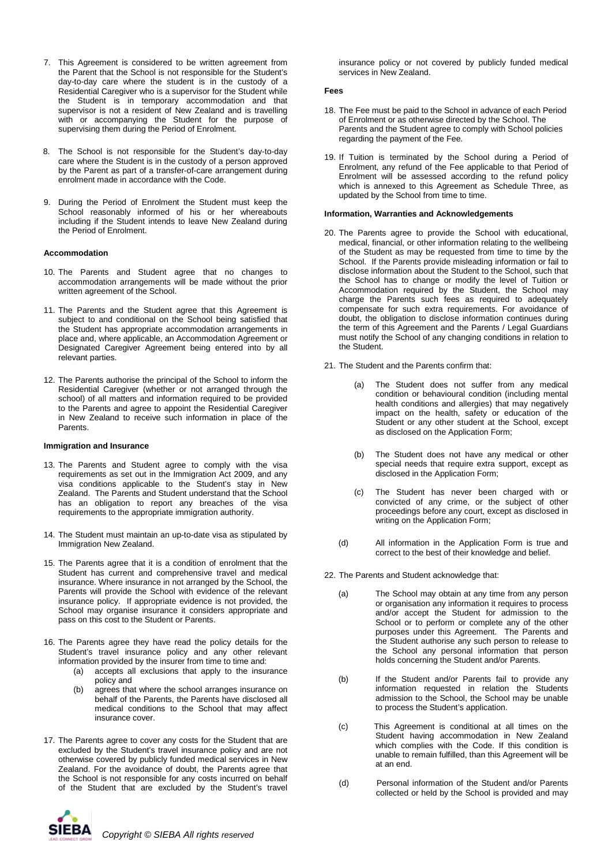- 7. This Agreement is considered to be written agreement from the Parent that the School is not responsible for the Student's day-to-day care where the student is in the custody of a Residential Caregiver who is a supervisor for the Student while the Student is in temporary accommodation and that supervisor is not a resident of New Zealand and is travelling with or accompanying the Student for the purpose of supervising them during the Period of Enrolment.
- 8. The School is not responsible for the Student's day-to-day care where the Student is in the custody of a person approved by the Parent as part of a transfer-of-care arrangement during enrolment made in accordance with the Code.
- 9. During the Period of Enrolment the Student must keep the School reasonably informed of his or her whereabouts including if the Student intends to leave New Zealand during the Period of Enrolment.

#### **Accommodation**

- 10. The Parents and Student agree that no changes to accommodation arrangements will be made without the prior written agreement of the School.
- 11. The Parents and the Student agree that this Agreement is subject to and conditional on the School being satisfied that the Student has appropriate accommodation arrangements in place and, where applicable, an Accommodation Agreement or Designated Caregiver Agreement being entered into by all relevant parties.
- 12. The Parents authorise the principal of the School to inform the Residential Caregiver (whether or not arranged through the school) of all matters and information required to be provided to the Parents and agree to appoint the Residential Caregiver in New Zealand to receive such information in place of the Parents.

#### **Immigration and Insurance**

- 13. The Parents and Student agree to comply with the visa requirements as set out in the Immigration Act 2009, and any visa conditions applicable to the Student's stay in New Zealand. The Parents and Student understand that the School has an obligation to report any breaches of the visa requirements to the appropriate immigration authority.
- 14. The Student must maintain an up-to-date visa as stipulated by Immigration New Zealand.
- 15. The Parents agree that it is a condition of enrolment that the Student has current and comprehensive travel and medical insurance. Where insurance in not arranged by the School, the Parents will provide the School with evidence of the relevant insurance policy. If appropriate evidence is not provided, the School may organise insurance it considers appropriate and pass on this cost to the Student or Parents.
- 16. The Parents agree they have read the policy details for the Student's travel insurance policy and any other relevant information provided by the insurer from time to time and:
	- (a) accepts all exclusions that apply to the insurance policy and
	- (b) agrees that where the school arranges insurance on behalf of the Parents, the Parents have disclosed all medical conditions to the School that may affect insurance cover.
- 17. The Parents agree to cover any costs for the Student that are excluded by the Student's travel insurance policy and are not otherwise covered by publicly funded medical services in New Zealand. For the avoidance of doubt, the Parents agree that the School is not responsible for any costs incurred on behalf of the Student that are excluded by the Student's travel

insurance policy or not covered by publicly funded medical services in New Zealand.

#### **Fees**

- 18. The Fee must be paid to the School in advance of each Period of Enrolment or as otherwise directed by the School. The Parents and the Student agree to comply with School policies regarding the payment of the Fee.
- 19. If Tuition is terminated by the School during a Period of Enrolment, any refund of the Fee applicable to that Period of Enrolment will be assessed according to the refund policy which is annexed to this Agreement as Schedule Three, as updated by the School from time to time.

### **Information, Warranties and Acknowledgements**

- 20. The Parents agree to provide the School with educational, medical, financial, or other information relating to the wellbeing of the Student as may be requested from time to time by the School. If the Parents provide misleading information or fail to disclose information about the Student to the School, such that the School has to change or modify the level of Tuition or Accommodation required by the Student, the School may charge the Parents such fees as required to adequately compensate for such extra requirements. For avoidance of doubt, the obligation to disclose information continues during the term of this Agreement and the Parents / Legal Guardians must notify the School of any changing conditions in relation to the Student.
- 21. The Student and the Parents confirm that:
	- (a) The Student does not suffer from any medical condition or behavioural condition (including mental health conditions and allergies) that may negatively impact on the health, safety or education of the Student or any other student at the School, except as disclosed on the Application Form;
	- (b) The Student does not have any medical or other special needs that require extra support, except as disclosed in the Application Form;
	- (c) The Student has never been charged with or convicted of any crime, or the subject of other proceedings before any court, except as disclosed in writing on the Application Form;
	- (d) All information in the Application Form is true and correct to the best of their knowledge and belief.
- 22. The Parents and Student acknowledge that:
	- (a) The School may obtain at any time from any person or organisation any information it requires to process and/or accept the Student for admission to the School or to perform or complete any of the other purposes under this Agreement. The Parents and the Student authorise any such person to release to the School any personal information that person holds concerning the Student and/or Parents.
	- (b) If the Student and/or Parents fail to provide any information requested in relation the Students admission to the School, the School may be unable to process the Student's application.
	- (c) This Agreement is conditional at all times on the Student having accommodation in New Zealand which complies with the Code. If this condition is unable to remain fulfilled, than this Agreement will be at an end.
	- (d) Personal information of the Student and/or Parents collected or held by the School is provided and may

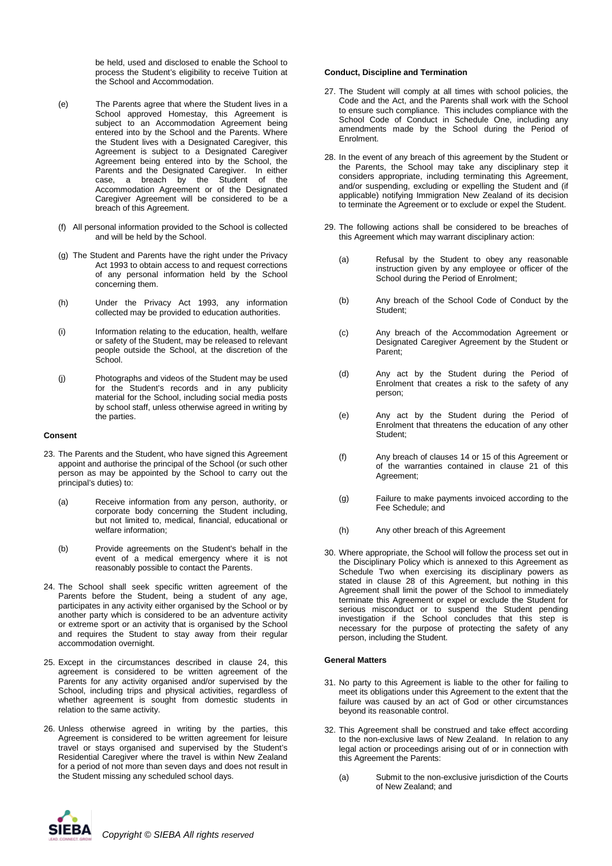be held, used and disclosed to enable the School to process the Student's eligibility to receive Tuition at the School and Accommodation.

- (e) The Parents agree that where the Student lives in a School approved Homestay, this Agreement is subject to an Accommodation Agreement being entered into by the School and the Parents. Where the Student lives with a Designated Caregiver, this Agreement is subject to a Designated Caregiver Agreement being entered into by the School, the Parents and the Designated Caregiver. In either case, a breach by the Student of the Accommodation Agreement or of the Designated Caregiver Agreement will be considered to be a breach of this Agreement.
- (f) All personal information provided to the School is collected and will be held by the School.
- (g) The Student and Parents have the right under the Privacy Act 1993 to obtain access to and request corrections of any personal information held by the School concerning them.
- (h) Under the Privacy Act 1993, any information collected may be provided to education authorities.
- (i) Information relating to the education, health, welfare or safety of the Student, may be released to relevant people outside the School, at the discretion of the School.
- (j) Photographs and videos of the Student may be used for the Student's records and in any publicity material for the School, including social media posts by school staff, unless otherwise agreed in writing by the parties.

#### **Consent**

- 23. The Parents and the Student, who have signed this Agreement appoint and authorise the principal of the School (or such other person as may be appointed by the School to carry out the principal's duties) to:
	- (a) Receive information from any person, authority, or corporate body concerning the Student including, but not limited to, medical, financial, educational or welfare information;
	- (b) Provide agreements on the Student's behalf in the event of a medical emergency where it is not reasonably possible to contact the Parents.
- 24. The School shall seek specific written agreement of the Parents before the Student, being a student of any age, participates in any activity either organised by the School or by another party which is considered to be an adventure activity or extreme sport or an activity that is organised by the School and requires the Student to stay away from their regular accommodation overnight.
- 25. Except in the circumstances described in clause 24, this agreement is considered to be written agreement of the Parents for any activity organised and/or supervised by the School, including trips and physical activities, regardless of whether agreement is sought from domestic students in relation to the same activity.
- 26. Unless otherwise agreed in writing by the parties, this Agreement is considered to be written agreement for leisure travel or stays organised and supervised by the Student's Residential Caregiver where the travel is within New Zealand for a period of not more than seven days and does not result in the Student missing any scheduled school days.

# **Conduct, Discipline and Termination**

- 27. The Student will comply at all times with school policies, the Code and the Act, and the Parents shall work with the School to ensure such compliance. This includes compliance with the School Code of Conduct in Schedule One, including any amendments made by the School during the Period of Enrolment.
- 28. In the event of any breach of this agreement by the Student or the Parents, the School may take any disciplinary step it considers appropriate, including terminating this Agreement, and/or suspending, excluding or expelling the Student and (if applicable) notifying Immigration New Zealand of its decision to terminate the Agreement or to exclude or expel the Student.
- 29. The following actions shall be considered to be breaches of this Agreement which may warrant disciplinary action:
	- (a) Refusal by the Student to obey any reasonable instruction given by any employee or officer of the School during the Period of Enrolment;
	- (b) Any breach of the School Code of Conduct by the Student;
	- (c) Any breach of the Accommodation Agreement or Designated Caregiver Agreement by the Student or Parent;
	- (d) Any act by the Student during the Period of Enrolment that creates a risk to the safety of any person;
	- (e) Any act by the Student during the Period of Enrolment that threatens the education of any other Student;
	- (f) Any breach of clauses 14 or 15 of this Agreement or of the warranties contained in clause 21 of this Agreement;
	- (g) Failure to make payments invoiced according to the Fee Schedule; and
	- (h) Any other breach of this Agreement
- 30. Where appropriate, the School will follow the process set out in the Disciplinary Policy which is annexed to this Agreement as Schedule Two when exercising its disciplinary powers as stated in clause 28 of this Agreement, but nothing in this Agreement shall limit the power of the School to immediately terminate this Agreement or expel or exclude the Student for serious misconduct or to suspend the Student pending investigation if the School concludes that this step is necessary for the purpose of protecting the safety of any person, including the Student.

#### **General Matters**

- 31. No party to this Agreement is liable to the other for failing to meet its obligations under this Agreement to the extent that the failure was caused by an act of God or other circumstances beyond its reasonable control.
- 32. This Agreement shall be construed and take effect according to the non-exclusive laws of New Zealand. In relation to any legal action or proceedings arising out of or in connection with this Agreement the Parents:
	- (a) Submit to the non-exclusive jurisdiction of the Courts of New Zealand; and

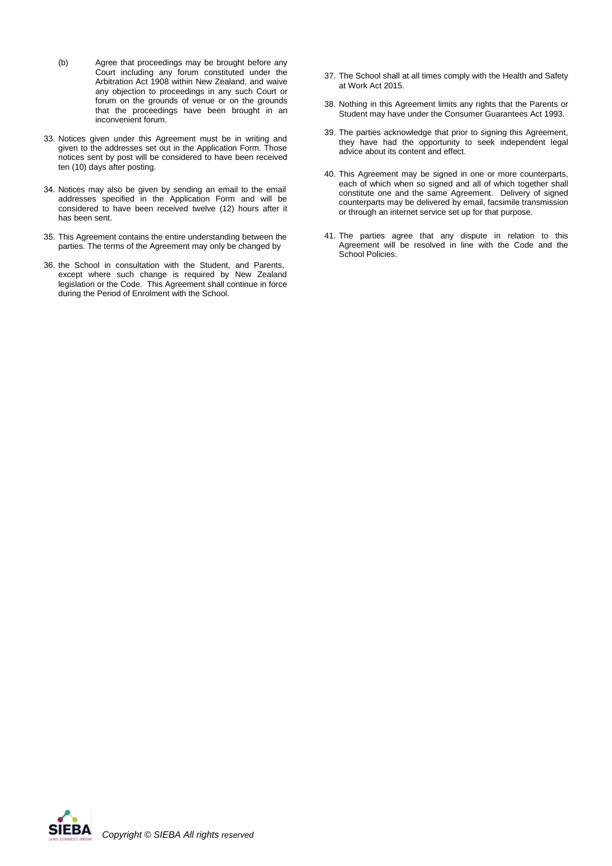- (b) Agree that proceedings may be brought before any Court including any forum constituted under the Arbitration Act 1908 within New Zealand, and waive any objection to proceedings in any such Court or forum on the grounds of venue or on the grounds that the proceedings have been brought in an inconvenient forum.
- 33. Notices given under this Agreement must be in writing and given to the addresses set out in the Application Form. Those notices sent by post will be considered to have been received ten (10) days after posting.
- 34. Notices may also be given by sending an email to the email addresses specified in the Application Form and will be considered to have been received twelve (12) hours after it has been sent.
- 35. This Agreement contains the entire understanding between the parties. The terms of the Agreement may only be changed by
- 36. the School in consultation with the Student, and Parents, except where such change is required by New Zealand legislation or the Code. This Agreement shall continue in force during the Period of Enrolment with the School.
- 37. The School shall at all times comply with the Health and Safety at Work Act 2015.
- 38. Nothing in this Agreement limits any rights that the Parents or Student may have under the Consumer Guarantees Act 1993.
- 39. The parties acknowledge that prior to signing this Agreement, they have had the opportunity to seek independent legal advice about its content and effect.
- 40. This Agreement may be signed in one or more counterparts, each of which when so signed and all of which together shall constitute one and the same Agreement. Delivery of signed counterparts may be delivered by email, facsimile transmission or through an internet service set up for that purpose.
- 41. The parties agree that any dispute in relation to this Agreement will be resolved in line with the Code and the School Policies.

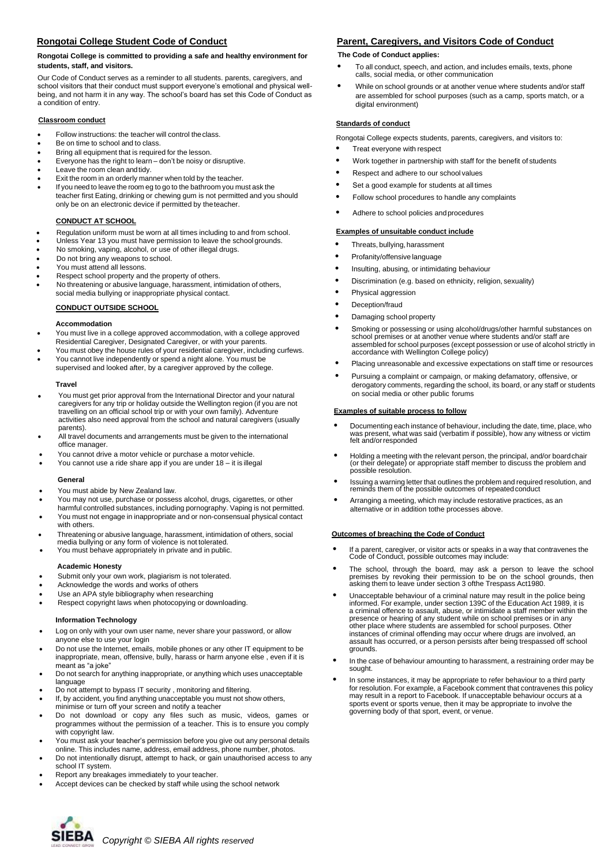# **Rongotai College Student Code of Conduct**

#### **Rongotai College is committed to providing a safe and healthy environment for students, staff, and visitors.**

Our Code of Conduct serves as a reminder to all students. parents, caregivers, and school visitors that their conduct must support everyone's emotional and physical wellbeing, and not harm it in any way. The school's board has set this Code of Conduct as a condition of entry.

#### **Classroom conduct**

- Follow instructions: the teacher will control the class.
- Be on time to school and to class.
- Bring all equipment that is required for the lesson.
- Everyone has the right to learn don't be noisy or disruptive.
- Leave the room clean and tidy.
- Exit the room in an orderly manner when told by the teacher. If you need to leave the room eg to go to the bathroom you must ask the teacher first Eating, drinking or chewing gum is not permitted and you should only be on an electronic device if permitted by the teacher.

#### **CONDUCT AT SCHOOL**

- Regulation uniform must be worn at all times including to and from school. **Examples of unsuitable conduct include**
- Unless Year 13 you must have permission to leave the school grounds.
- No smoking, vaping, alcohol, or use of other illegal drugs.
- Do not bring any weapons to school.
- You must attend all lessons.
- Respect school property and the property of others.
- No threatening or abusive language, harassment, intimidation of others, social media bullying or inappropriate physical contact.

#### **CONDUCT OUTSIDE SCHOOL**

#### **Accommodation**

- You must live in a college approved accommodation, with a college approved Residential Caregiver, Designated Caregiver, or with your parents.
- You must obey the house rules of your residential caregiver, including curfews. • You cannot live independently or spend a night alone. You must be supervised and looked after, by a caregiver approved by the college.

#### **Travel**

- You must get prior approval from the International Director and your natural caregivers for any trip or holiday outside the Wellington region (if you are not travelling on an official school trip or with your own family). Adventure activities also need approval from the school and natural caregivers (usually parents).
- All travel documents and arrangements must be given to the international office manager.
- You cannot drive a motor vehicle or purchase a motor vehicle.
- You cannot use a ride share app if you are under 18 it is illegal

#### **General**

- You must abide by New Zealand law.
- You may not use, purchase or possess alcohol, drugs, cigarettes, or other
- harmful controlled substances, including pornography. Vaping is not permitted. • You must not engage in inappropriate and or non-consensual physical contact
- with others. • Threatening or abusive language, harassment, intimidation of others, social media bullying or any form of violence is not tolerated.
- You must behave appropriately in private and in public.

#### **Academic Honesty**

- Submit only your own work, plagiarism is not tolerated.
- Acknowledge the words and works of others
- Use an APA style bibliography when researching
- Respect copyright laws when photocopying or downloading.

#### **Information Technology**

- Log on only with your own user name, never share your password, or allow anyone else to use your login
- Do not use the Internet, emails, mobile phones or any other IT equipment to be inappropriate, mean, offensive, bully, harass or harm anyone else , even if it is meant as "a joke"
- Do not search for anything inappropriate, or anything which uses unacceptable language
- Do not attempt to bypass IT security , monitoring and filtering.
- If, by accident, you find anything unacceptable you must not show others,
- minimise or turn off your screen and notify a teacher • Do not download or copy any files such as music, videos, games or
- programmes without the permission of a teacher. This is to ensure you comply with copyright law.
- You must ask your teacher's permission before you give out any personal details online. This includes name, address, email address, phone number, photos.
- Do not intentionally disrupt, attempt to hack, or gain unauthorised access to any school IT system.
- Report any breakages immediately to your teacher.
- Accept devices can be checked by staff while using the school network

# **Parent, Caregivers, and Visitors Code of Conduct**

#### **The Code of Conduct applies:**

- <sup>T</sup><sup>o</sup> all conduct, speech, and action, and includes emails, texts, phone calls, social media, or other communication
- <sup>W</sup>hile on school grounds or at another venue where students and/or staff are assembled for school purposes (such as a camp, sports match, or a digital environment)

#### **Standards of conduct**

Rongotai College expects students, parents, caregivers, and visitors to:

- Treat everyone with respect
- <sup>W</sup>ork together in partnership with staff for the benefit of students
- <sup>R</sup>espect and adhere to our school values
- <sup>S</sup>et a good example for students at all times
- <sup>F</sup>ollow school procedures to handle any complaints
- <sup>A</sup>dhere to school policies and procedures

- <sup>T</sup>hreats, bullying, harassment
- <sup>P</sup>rofanity/offensive language
- <sup>I</sup>nsulting, abusing, or intimidating behaviour
- <sup>D</sup>iscrimination (e.g. based on ethnicity, religion, sexuality)
- Physical aggression
- Deception/fraud
- <sup>D</sup>amaging school property
- <sup>S</sup>moking or possessing or using alcohol/drugs/other harmful substances on school premises or at another venue where students and/or staff are assembled for school purposes (except possession or use of alcohol strictly in accordance with Wellington College policy)
- <sup>P</sup>lacing unreasonable and excessive expectations on staff time or resources
- <sup>P</sup>ursuing a complaint or campaign, or making defamatory, offensive, or derogatory comments, regarding the school, its board, or any staff or students on social media or other public forums

#### **Examples of suitable process to follow**

- <sup>D</sup>ocumenting each instance of behaviour, including the date, time, place, who was present, what was said (verbatim if possible), how any witness or victim felt and/or responded
- <sup>H</sup>olding a meeting with the relevant person, the principal, and/or board chair (or their delegate) or appropriate staff member to discuss the problem and possible resolution.
- <sup>I</sup>ssuing a warning letter that outlines the problem and required resolution, and reminds them of the possible outcomes of repeated conduct
- <sup>A</sup>rranging a meeting, which may include restorative practices, as an alternative or in addition tothe processes above.

#### **Outcomes of breaching the Code of Conduct**

- If a parent, caregiver, or visitor acts or speaks in a way that contravenes the Code of Conduct, possible outcomes may include:
- The school, through the board, may ask a person to leave the school premises by revoking their permission to be on the school grounds, then asking them to leave under section 3 ofthe Trespass Act1980.
- Unacceptable behaviour of a criminal nature may result in the police being informed. For example, under section 139C of the Education Act 1989, it is a criminal offence to assault, abuse, or intimidate a staff member within the presence or hearing of any student while on school premises or in any other place where students are assembled for school purposes. Other instances of criminal offending may occur where drugs are involved, an assault has occurred, or a person persists after being trespassed off school grounds.
- In the case of behaviour amounting to harassment, a restraining order may be sought.
- In some instances, it may be appropriate to refer behaviour to a third party for resolution. For example, a Facebook comment that contravenes this policy may result in a report to Facebook. If unacceptable behaviour occurs at a sports event or sports venue, then it may be appropriate to involve the governing body of that sport, event, or venue.

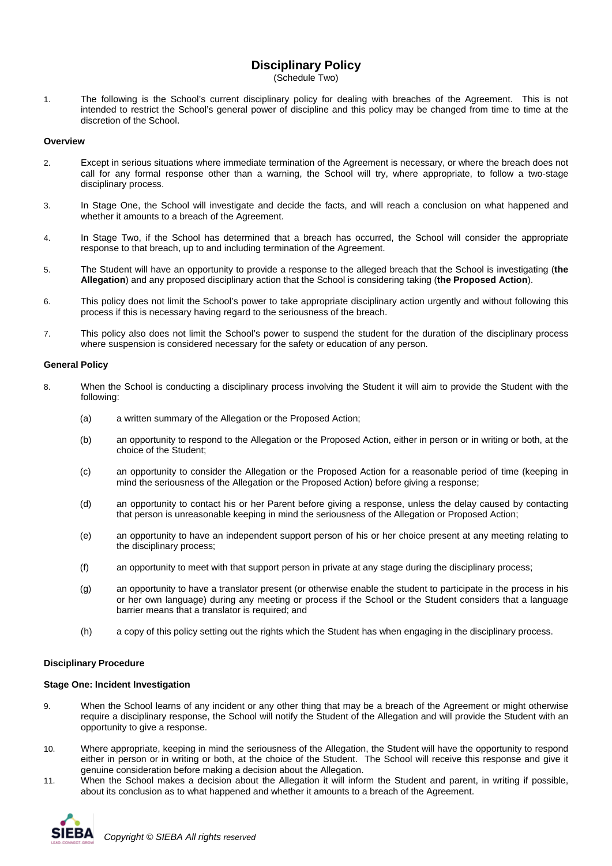# **Disciplinary Policy**

(Schedule Two)

1. The following is the School's current disciplinary policy for dealing with breaches of the Agreement. This is not intended to restrict the School's general power of discipline and this policy may be changed from time to time at the discretion of the School.

# **Overview**

- 2. Except in serious situations where immediate termination of the Agreement is necessary, or where the breach does not call for any formal response other than a warning, the School will try, where appropriate, to follow a two-stage disciplinary process.
- 3. In Stage One, the School will investigate and decide the facts, and will reach a conclusion on what happened and whether it amounts to a breach of the Agreement.
- 4. In Stage Two, if the School has determined that a breach has occurred, the School will consider the appropriate response to that breach, up to and including termination of the Agreement.
- 5. The Student will have an opportunity to provide a response to the alleged breach that the School is investigating (**the Allegation**) and any proposed disciplinary action that the School is considering taking (**the Proposed Action**).
- 6. This policy does not limit the School's power to take appropriate disciplinary action urgently and without following this process if this is necessary having regard to the seriousness of the breach.
- 7. This policy also does not limit the School's power to suspend the student for the duration of the disciplinary process where suspension is considered necessary for the safety or education of any person.

### **General Policy**

- 8. When the School is conducting a disciplinary process involving the Student it will aim to provide the Student with the following:
	- (a) a written summary of the Allegation or the Proposed Action;
	- (b) an opportunity to respond to the Allegation or the Proposed Action, either in person or in writing or both, at the choice of the Student;
	- (c) an opportunity to consider the Allegation or the Proposed Action for a reasonable period of time (keeping in mind the seriousness of the Allegation or the Proposed Action) before giving a response;
	- (d) an opportunity to contact his or her Parent before giving a response, unless the delay caused by contacting that person is unreasonable keeping in mind the seriousness of the Allegation or Proposed Action;
	- (e) an opportunity to have an independent support person of his or her choice present at any meeting relating to the disciplinary process;
	- (f) an opportunity to meet with that support person in private at any stage during the disciplinary process;
	- (g) an opportunity to have a translator present (or otherwise enable the student to participate in the process in his or her own language) during any meeting or process if the School or the Student considers that a language barrier means that a translator is required; and
	- (h) a copy of this policy setting out the rights which the Student has when engaging in the disciplinary process.

# **Disciplinary Procedure**

#### **Stage One: Incident Investigation**

- 9. When the School learns of any incident or any other thing that may be a breach of the Agreement or might otherwise require a disciplinary response, the School will notify the Student of the Allegation and will provide the Student with an opportunity to give a response.
- 10. Where appropriate, keeping in mind the seriousness of the Allegation, the Student will have the opportunity to respond either in person or in writing or both, at the choice of the Student. The School will receive this response and give it genuine consideration before making a decision about the Allegation.
- 11. When the School makes a decision about the Allegation it will inform the Student and parent, in writing if possible, about its conclusion as to what happened and whether it amounts to a breach of the Agreement.

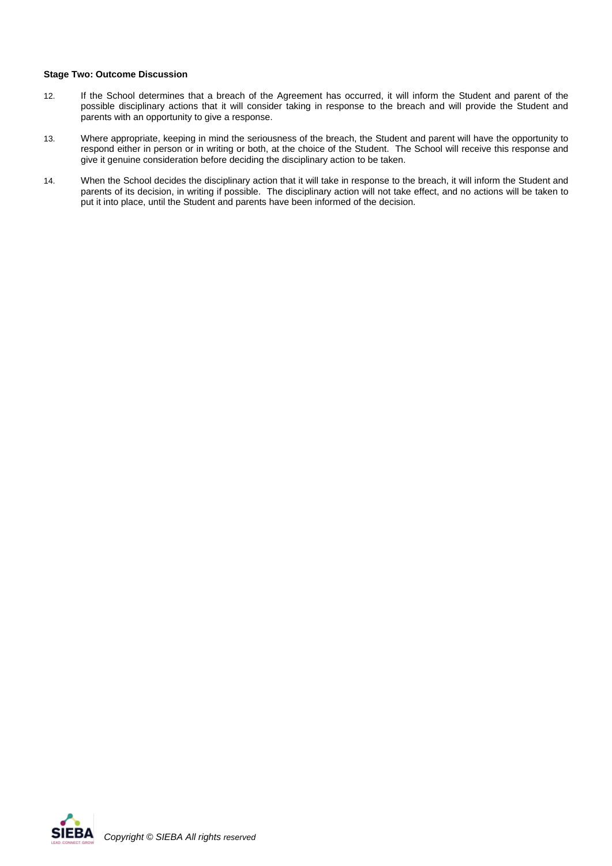# **Stage Two: Outcome Discussion**

- 12. If the School determines that a breach of the Agreement has occurred, it will inform the Student and parent of the possible disciplinary actions that it will consider taking in response to the breach and will provide the Student and parents with an opportunity to give a response.
- 13. Where appropriate, keeping in mind the seriousness of the breach, the Student and parent will have the opportunity to respond either in person or in writing or both, at the choice of the Student. The School will receive this response and give it genuine consideration before deciding the disciplinary action to be taken.
- 14. When the School decides the disciplinary action that it will take in response to the breach, it will inform the Student and parents of its decision, in writing if possible. The disciplinary action will not take effect, and no actions will be taken to put it into place, until the Student and parents have been informed of the decision.

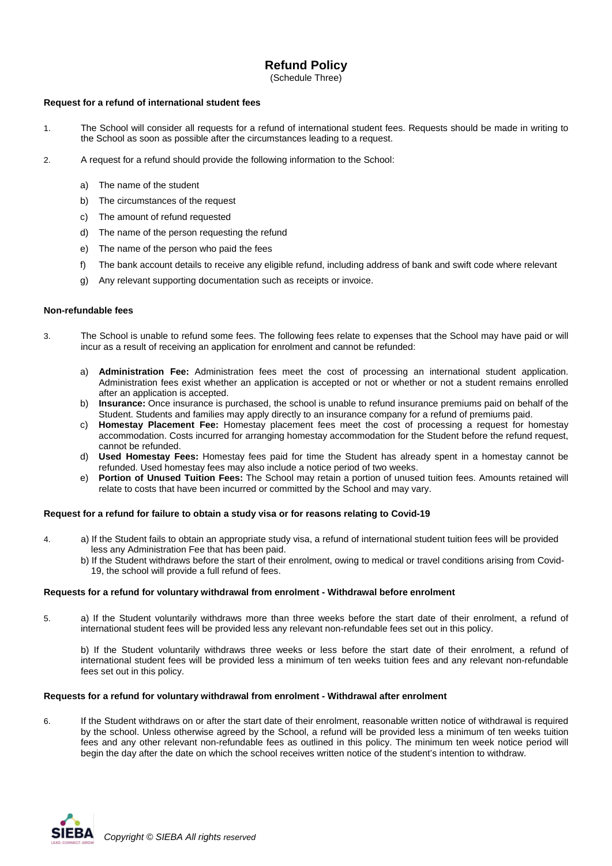# **Refund Policy**

(Schedule Three)

# **Request for a refund of international student fees**

- 1. The School will consider all requests for a refund of international student fees. Requests should be made in writing to the School as soon as possible after the circumstances leading to a request.
- 2. A request for a refund should provide the following information to the School:
	- a) The name of the student
	- b) The circumstances of the request
	- c) The amount of refund requested
	- d) The name of the person requesting the refund
	- e) The name of the person who paid the fees
	- f) The bank account details to receive any eligible refund, including address of bank and swift code where relevant
	- g) Any relevant supporting documentation such as receipts or invoice.

# **Non-refundable fees**

- 3. The School is unable to refund some fees. The following fees relate to expenses that the School may have paid or will incur as a result of receiving an application for enrolment and cannot be refunded:
	- a) **Administration Fee:** Administration fees meet the cost of processing an international student application. Administration fees exist whether an application is accepted or not or whether or not a student remains enrolled after an application is accepted.
	- b) **Insurance:** Once insurance is purchased, the school is unable to refund insurance premiums paid on behalf of the Student. Students and families may apply directly to an insurance company for a refund of premiums paid.
	- c) **Homestay Placement Fee:** Homestay placement fees meet the cost of processing a request for homestay accommodation. Costs incurred for arranging homestay accommodation for the Student before the refund request, cannot be refunded.
	- d) **Used Homestay Fees:** Homestay fees paid for time the Student has already spent in a homestay cannot be refunded. Used homestay fees may also include a notice period of two weeks.
	- e) **Portion of Unused Tuition Fees:** The School may retain a portion of unused tuition fees. Amounts retained will relate to costs that have been incurred or committed by the School and may vary.

# **Request for a refund for failure to obtain a study visa or for reasons relating to Covid-19**

- 4. a) If the Student fails to obtain an appropriate study visa, a refund of international student tuition fees will be provided less any Administration Fee that has been paid.
	- b) If the Student withdraws before the start of their enrolment, owing to medical or travel conditions arising from Covid- 19, the school will provide a full refund of fees.

# **Requests for a refund for voluntary withdrawal from enrolment - Withdrawal before enrolment**

5. a) If the Student voluntarily withdraws more than three weeks before the start date of their enrolment, a refund of international student fees will be provided less any relevant non-refundable fees set out in this policy.

b) If the Student voluntarily withdraws three weeks or less before the start date of their enrolment, a refund of international student fees will be provided less a minimum of ten weeks tuition fees and any relevant non-refundable fees set out in this policy.

# **Requests for a refund for voluntary withdrawal from enrolment - Withdrawal after enrolment**

6. If the Student withdraws on or after the start date of their enrolment, reasonable written notice of withdrawal is required by the school. Unless otherwise agreed by the School, a refund will be provided less a minimum of ten weeks tuition fees and any other relevant non-refundable fees as outlined in this policy. The minimum ten week notice period will begin the day after the date on which the school receives written notice of the student's intention to withdraw.

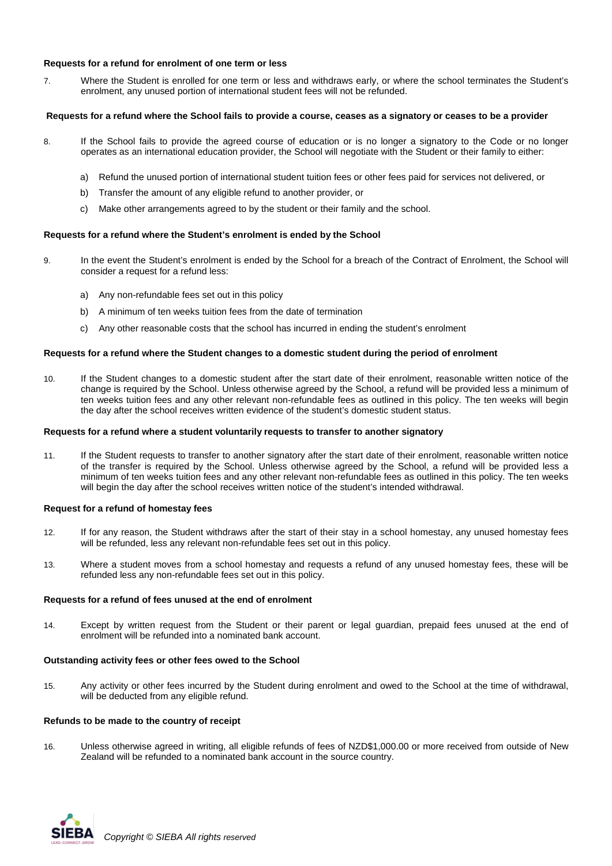# **Requests for a refund for enrolment of one term or less**

7. Where the Student is enrolled for one term or less and withdraws early, or where the school terminates the Student's enrolment, any unused portion of international student fees will not be refunded.

# **Requests for a refund where the School fails to provide a course, ceases as a signatory or ceases to be a provider**

- 8. If the School fails to provide the agreed course of education or is no longer a signatory to the Code or no longer operates as an international education provider, the School will negotiate with the Student or their family to either:
	- a) Refund the unused portion of international student tuition fees or other fees paid for services not delivered, or
	- b) Transfer the amount of any eligible refund to another provider, or
	- c) Make other arrangements agreed to by the student or their family and the school.

# **Requests for a refund where the Student's enrolment is ended by the School**

- 9. In the event the Student's enrolment is ended by the School for a breach of the Contract of Enrolment, the School will consider a request for a refund less:
	- a) Any non-refundable fees set out in this policy
	- b) A minimum of ten weeks tuition fees from the date of termination
	- c) Any other reasonable costs that the school has incurred in ending the student's enrolment

# **Requests for a refund where the Student changes to a domestic student during the period of enrolment**

10. If the Student changes to a domestic student after the start date of their enrolment, reasonable written notice of the change is required by the School. Unless otherwise agreed by the School, a refund will be provided less a minimum of ten weeks tuition fees and any other relevant non-refundable fees as outlined in this policy. The ten weeks will begin the day after the school receives written evidence of the student's domestic student status.

# **Requests for a refund where a student voluntarily requests to transfer to another signatory**

11. If the Student requests to transfer to another signatory after the start date of their enrolment, reasonable written notice of the transfer is required by the School. Unless otherwise agreed by the School, a refund will be provided less a minimum of ten weeks tuition fees and any other relevant non-refundable fees as outlined in this policy. The ten weeks will begin the day after the school receives written notice of the student's intended withdrawal.

# **Request for a refund of homestay fees**

- 12. If for any reason, the Student withdraws after the start of their stay in a school homestay, any unused homestay fees will be refunded, less any relevant non-refundable fees set out in this policy.
- 13. Where a student moves from a school homestay and requests a refund of any unused homestay fees, these will be refunded less any non-refundable fees set out in this policy.

# **Requests for a refund of fees unused at the end of enrolment**

14. Except by written request from the Student or their parent or legal guardian, prepaid fees unused at the end of enrolment will be refunded into a nominated bank account.

# **Outstanding activity fees or other fees owed to the School**

15. Any activity or other fees incurred by the Student during enrolment and owed to the School at the time of withdrawal, will be deducted from any eligible refund.

# **Refunds to be made to the country of receipt**

16. Unless otherwise agreed in writing, all eligible refunds of fees of NZD\$1,000.00 or more received from outside of New Zealand will be refunded to a nominated bank account in the source country.